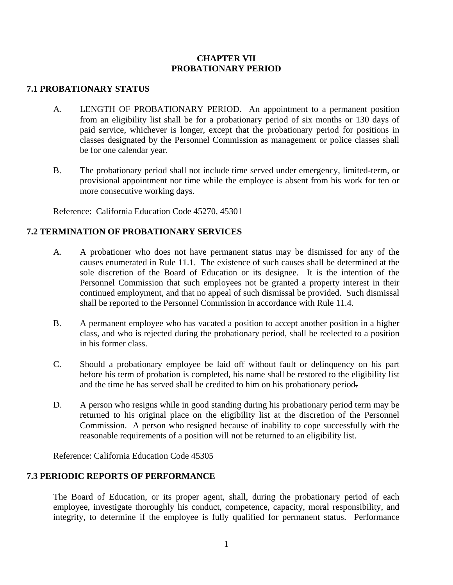## **CHAPTER VII PROBATIONARY PERIOD**

## **7.1 PROBATIONARY STATUS**

- A. LENGTH OF PROBATIONARY PERIOD. An appointment to a permanent position from an eligibility list shall be for a probationary period of six months or 130 days of paid service, whichever is longer, except that the probationary period for positions in classes designated by the Personnel Commission as management or police classes shall be for one calendar year.
- B. The probationary period shall not include time served under emergency, limited-term, or provisional appointment nor time while the employee is absent from his work for ten or more consecutive working days.

Reference: California Education Code 45270, 45301

## **7.2 TERMINATION OF PROBATIONARY SERVICES**

- A. A probationer who does not have permanent status may be dismissed for any of the causes enumerated in Rule 11.1. The existence of such causes shall be determined at the sole discretion of the Board of Education or its designee. It is the intention of the Personnel Commission that such employees not be granted a property interest in their continued employment, and that no appeal of such dismissal be provided. Such dismissal shall be reported to the Personnel Commission in accordance with Rule 11.4.
- B. A permanent employee who has vacated a position to accept another position in a higher class, and who is rejected during the probationary period, shall be reelected to a position in his former class.
- C. Should a probationary employee be laid off without fault or delinquency on his part before his term of probation is completed, his name shall be restored to the eligibility list and the time he has served shall be credited to him on his probationary period.
- D. A person who resigns while in good standing during his probationary period term may be returned to his original place on the eligibility list at the discretion of the Personnel Commission. A person who resigned because of inability to cope successfully with the reasonable requirements of a position will not be returned to an eligibility list.

Reference: California Education Code 45305

## **7.3 PERIODIC REPORTS OF PERFORMANCE**

The Board of Education, or its proper agent, shall, during the probationary period of each employee, investigate thoroughly his conduct, competence, capacity, moral responsibility, and integrity, to determine if the employee is fully qualified for permanent status. Performance